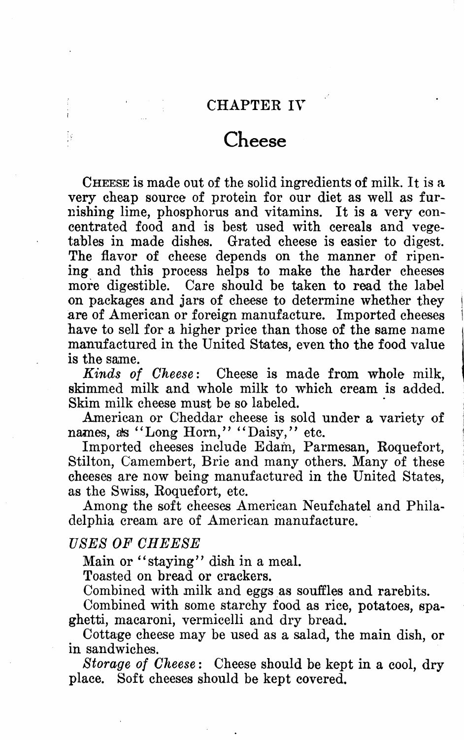## CHAPTER IV

# **Cheese**

CHEESE is made out of the solid ingredients of milk. It is a very cheap source of protein for our diet as well as furnishing lime, phosphorus and vitamins. It is a very concentrated food and is best used with cereals and vegetables in made dishes. Grated cheese is easier to digest. The flavor of cheese depends on the manner of ripening and this process helps to make the harder cheeses more digestible. Care should be taken to read the label on packages and jars of cheese to determine whether they are of American or foreign manufacture. Imported cheeses have to sell for a higher price than those of the same name manufactured in the United States, even tho the food value is the same.

*Kinds of Cheese:* Cheese is made from whole milk, skimmed milk and whole milk to which cream is added. Skim milk cheese must be so labeled.

American or Cheddar cheese is sold under a variety of names, as "Long Horn," "Daisy," etc.

Imported cheeses include Edam, Parmesan, Roquefort, Stilton, Camembert, Brie and many others. Many of these cheeses are now being manufactured in the United States, as the Swiss, Roquefort, etc.

Among the soft cheeses American Neufchatel and Philadelphia cream are of American manufacture.

## *USES OF CHEESE*

Main or "staying" dish in a meal.

Toasted on bread or crackers.

Combined with milk and eggs as souffles and rarebits.

Combined with some starchy food as rice, potatoes, spaghetti, macaroni, vermicelli and dry bread.

Cottage cheese may be used as a salad, the main dish, or in sandwiches.

*Storage of Cheese* : Cheese should be kept in a cool, dry place. Soft cheeses should be kept covered.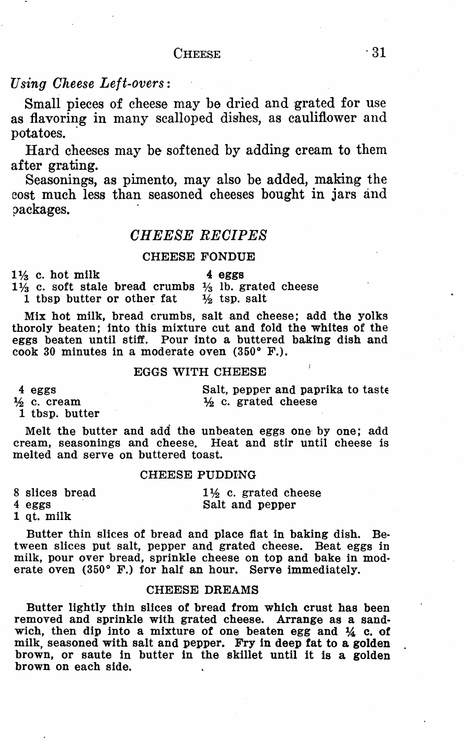## $C$ HEESE  $\cdot$  31

## *Using Cheese Left-overs* :

Small pieces of cheese may be dried and grated for use as flavoring in many scalloped dishes, as cauliflower and potatoes.

Hard cheeses may be softened by adding cream to them after grating.

Seasonings, as pimento, may also be added, making the cost much less than seasoned cheeses bought in jars and packages.

## *CHEESE RECIPES*

## CHEESE FONDUE

 $1\frac{1}{3}$  c. hot milk  $4$  eggs

 $1\frac{1}{2}$  c. soft stale bread crumbs  $\frac{1}{2}$  ib. grated cheese<br>1 tbsp butter or other fat  $\frac{1}{2}$  tsp. salt  $\tilde{1}$  tbsp butter or other fat

Mix hot milk, bread crumbs, salt and cheese; add the yolks thoroly beaten; into this mixture cut and fold the whites of the eggs beaten until stiff. Pour into a buttered baking dish and cook 30 minutes in a moderate oven (350° F.).

## EGGS WITH CHEESE

4 eggs<br> $\frac{1}{2}$  c. cream

Salt, pepper and paprika to taste ½ c. grated cheese

1 tbsp. butter

Melt the butter and add the unbeaten eggs one by one; add cream, seasonings and cheese. Heat and stir until cheese is melted and serve on buttered toast.

#### CHEESE PUDDING

| 8 slices bread | $1\frac{1}{2}$ c. grated cheese |
|----------------|---------------------------------|
| 4 eggs         | Salt and pepper                 |

1 qt. milk

Butter thin slices of bread and place flat in baking dish. Be• tween slices put salt, pepper and grated cheese. Beat eggs in milk, pour over bread, sprinkle cheese on top and bake in moderate oven (350° F.) for half an hour. Serve immediately.

## CHEESE DREAMS

Butter lightly thin slices of bread from which crust has been removed and sprinkle with grated cheese. Arrange as a sandwich, then dip into a mixture of one beaten egg and ¾ c. of milk, seasoned with salt and pepper. Fry in deep fat to a golden brown, or saute in butter in the skillet until it is a golden brown on each side.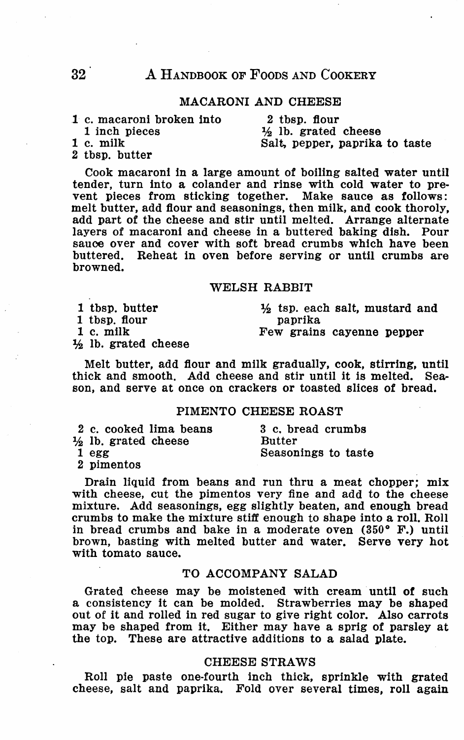## 32 A HANDBOOK OF FOODS AND COOKERY

## MACARONI AND CHEESE

| 1 c. macaroni broken into | 2 thsp. flour                   |
|---------------------------|---------------------------------|
| 1 inch pieces             | $\frac{1}{2}$ lb. grated cheese |
| 1 c. milk                 | Salt, pepper, paprika to taste  |
| <b>0.</b> 19. 9. . 11.    |                                 |

2 tbsp. butter

Cook macaroni in a large amount of boiling salted water until tender, turn into a colander and rinse with cold water to prevent pieces from sticking together. Make sauce as follows: melt butter, add flour and seasonings, then milk, and cook thoroly, add part of the cheese and stir until melted. Arrange alternate layers of macaroni and cheese in a buttered baking dish. Pour sauoe over and cover with soft bread crumbs which have been buttered. Reheat in oven before serving or until crumbs are browned.

#### WELSH RABBIT

1 tbsp. butter 1 tbsp, flour 1 c. milk  $\frac{1}{2}$  lb. grated cheese  $\frac{1}{2}$  tsp. each salt, mustard and paprika Few grains cayenne pepper

Melt butter, add flour and milk gradually, cook, stirring, until thick and smooth. Add cheese and stir until it is melted. Season, and serve at once on crackers or toasted slices of bread.

#### PIMENTO CHEESE ROAST

| 2 c. cooked lima beans          | 3 c. bread crumbs   |
|---------------------------------|---------------------|
| $\frac{1}{2}$ lb. grated cheese | <b>Butter</b>       |
| 1 egg                           | Seasonings to taste |
| 2 pimentos                      |                     |

Drain liquid from beans and run thru a meat chopper; mix with cheese, cut the pimentos very fine and add to the cheese mixture. Add seasonings, egg slightly beaten, and enough bread crumbs to make the mixture stiff enough to shape into a roll. Roll in bread crumbs and bake in a moderate oven (350° F.) until brown, basting with melted butter and water. Serve very hot with tomato sauce.

#### TO ACCOMPANY SALAD

Grated cheese may be moistened with cream until of such a consistency it can be molded. Strawberries may be shaped out of it and rolled in red sugar to give right color. Also carrots may be shaped from it. Either may have a sprig of parsley at the top. These are attractive additions to a salad plate.

### CHEESE STRAWS

Roll pie paste one-fourth inch thick, sprinkle with grated cheese, salt and paprika. Fold over several times, roll again